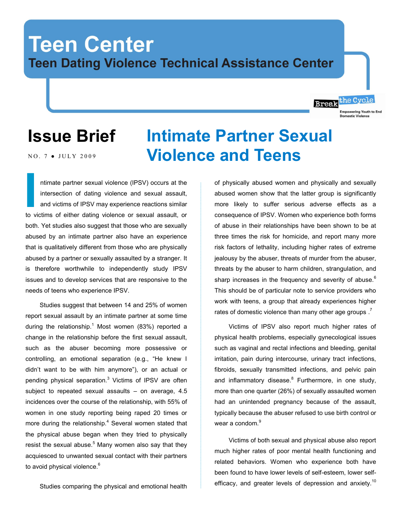## **Teen Center Teen Dating Violence Technical Assistance Center**

### **Issue Brief**

NO. 7 • JULY 2009

### ntimate partner sexual violence (IPSV) occurs at the intersection of dating violence and sexual assault, and victims of IPSV may experience reactions similar to victims of either dating violence or sexual assault, or both. Yet studies also suggest that those who are sexually abused by an intimate partner also have an experience that is qualitatively different from those who are physically abused by a partner or sexually assaulted by a stranger. It is therefore worthwhile to independently study IPSV issues and to develop services that are responsive to the needs of teens who experience IPSV. **I**<br> **I**<br> **I**<br> **I**<br> **I**

Studies suggest that between 14 and 25% of women report sexual assault by an intimate partner at some time during the relationship.<sup>1</sup> Most women (83%) reported a change in the relationship before the first sexual assault, such as the abuser becoming more possessive or controlling, an emotional separation (e.g., "He knew I didn"t want to be with him anymore"), or an actual or pending physical separation.<sup>3</sup> Victims of IPSV are often subject to repeated sexual assaults  $-$  on average, 4.5 incidences over the course of the relationship, with 55% of women in one study reporting being raped 20 times or more during the relationship. $4$  Several women stated that the physical abuse began when they tried to physically resist the sexual abuse. $5$  Many women also say that they acquiesced to unwanted sexual contact with their partners to avoid physical violence.<sup>6</sup>

Studies comparing the physical and emotional health

# **Intimate Partner Sexual Violence and Teens**

of physically abused women and physically and sexually abused women show that the latter group is significantly more likely to suffer serious adverse effects as a consequence of IPSV. Women who experience both forms of abuse in their relationships have been shown to be at three times the risk for homicide, and report many more risk factors of lethality, including higher rates of extreme jealousy by the abuser, threats of murder from the abuser, threats by the abuser to harm children, strangulation, and sharp increases in the frequency and severity of abuse.<sup>6</sup> This should be of particular note to service providers who work with teens, a group that already experiences higher rates of domestic violence than many other age groups  $.7$ 

Break<sup>the Cycle</sup>

**Empowering Youth to End** 

Victims of IPSV also report much higher rates of physical health problems, especially gynecological issues such as vaginal and rectal infections and bleeding, genital irritation, pain during intercourse, urinary tract infections, fibroids, sexually transmitted infections, and pelvic pain and inflammatory disease.<sup>8</sup> Furthermore, in one study, more than one quarter (26%) of sexually assaulted women had an unintended pregnancy because of the assault, typically because the abuser refused to use birth control or wear a condom.<sup>9</sup>

Victims of both sexual and physical abuse also report much higher rates of poor mental health functioning and related behaviors. Women who experience both have been found to have lower levels of self-esteem, lower selfefficacy, and greater levels of depression and anxiety.<sup>10</sup>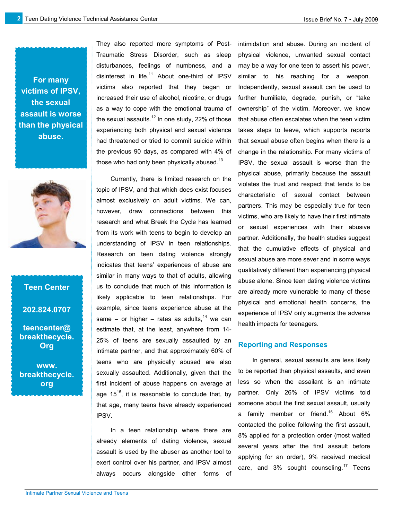**For many victims of IPSV, the sexual assault is worse than the physical abuse.**



# **Teen Center**

**202.824.0707**

**teencenter@ breakthecycle. Org**

**www. breakthecycle. org**

They also reported more symptoms of Post-Traumatic Stress Disorder, such as sleep disturbances, feelings of numbness, and a disinterest in life.<sup>11</sup> About one-third of IPSV victims also reported that they began or increased their use of alcohol, nicotine, or drugs as a way to cope with the emotional trauma of the sexual assaults.<sup>12</sup> In one study, 22% of those experiencing both physical and sexual violence had threatened or tried to commit suicide within the previous 90 days, as compared with 4% of those who had only been physically abused.<sup>13</sup>

Currently, there is limited research on the topic of IPSV, and that which does exist focuses almost exclusively on adult victims. We can, however, draw connections between this research and what Break the Cycle has learned from its work with teens to begin to develop an understanding of IPSV in teen relationships. Research on teen dating violence strongly indicates that teens' experiences of abuse are similar in many ways to that of adults, allowing us to conclude that much of this information is likely applicable to teen relationships. For example, since teens experience abuse at the same – or higher – rates as adults.<sup>14</sup> we can estimate that, at the least, anywhere from 14- 25% of teens are sexually assaulted by an intimate partner, and that approximately 60% of teens who are physically abused are also sexually assaulted. Additionally, given that the first incident of abuse happens on average at age  $15^{15}$ , it is reasonable to conclude that, by that age, many teens have already experienced IPSV.

In a teen relationship where there are already elements of dating violence, sexual assault is used by the abuser as another tool to exert control over his partner, and IPSV almost always occurs alongside other forms of intimidation and abuse. During an incident of physical violence, unwanted sexual contact may be a way for one teen to assert his power, similar to his reaching for a weapon. Independently, sexual assault can be used to further humiliate, degrade, punish, or "take ownership" of the victim. Moreover, we know that abuse often escalates when the teen victim takes steps to leave, which supports reports that sexual abuse often begins when there is a change in the relationship. For many victims of IPSV, the sexual assault is worse than the physical abuse, primarily because the assault violates the trust and respect that tends to be characteristic of sexual contact between partners. This may be especially true for teen victims, who are likely to have their first intimate or sexual experiences with their abusive partner. Additionally, the health studies suggest that the cumulative effects of physical and sexual abuse are more sever and in some ways qualitatively different than experiencing physical abuse alone. Since teen dating violence victims are already more vulnerable to many of these physical and emotional health concerns, the experience of IPSV only augments the adverse health impacts for teenagers.

#### **Reporting and Responses**

In general, sexual assaults are less likely to be reported than physical assaults, and even less so when the assailant is an intimate partner. Only 26% of IPSV victims told someone about the first sexual assault, usually a family member or friend.<sup>16</sup> About 6% contacted the police following the first assault, 8% applied for a protection order (most waited several years after the first assault before applying for an order), 9% received medical care, and  $3\%$  sought counseling.<sup>17</sup> Teens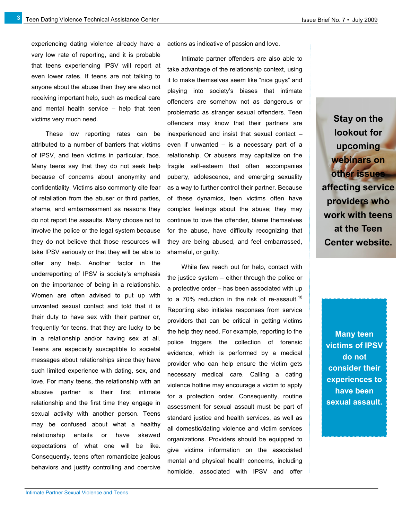**3**

experiencing dating violence already have a very low rate of reporting, and it is probable that teens experiencing IPSV will report at even lower rates. If teens are not talking to anyone about the abuse then they are also not receiving important help, such as medical care and mental health service – help that teen victims very much need.

These low reporting rates can be attributed to a number of barriers that victims of IPSV, and teen victims in particular, face. Many teens say that they do not seek help because of concerns about anonymity and confidentiality. Victims also commonly cite fear of retaliation from the abuser or third parties, shame, and embarrassment as reasons they do not report the assaults. Many choose not to involve the police or the legal system because they do not believe that those resources will take IPSV seriously or that they will be able to offer any help. Another factor in the underreporting of IPSV is society's emphasis on the importance of being in a relationship. Women are often advised to put up with unwanted sexual contact and told that it is their duty to have sex with their partner or, frequently for teens, that they are lucky to be in a relationship and/or having sex at all. Teens are especially susceptible to societal messages about relationships since they have such limited experience with dating, sex, and love. For many teens, the relationship with an abusive partner is their first intimate relationship and the first time they engage in sexual activity with another person. Teens may be confused about what a healthy relationship entails or have skewed expectations of what one will be like. Consequently, teens often romanticize jealous behaviors and justify controlling and coercive

actions as indicative of passion and love.

Intimate partner offenders are also able to take advantage of the relationship context, using it to make themselves seem like "nice guys" and playing into society"s biases that intimate offenders are somehow not as dangerous or problematic as stranger sexual offenders. Teen offenders may know that their partners are inexperienced and insist that sexual contact – even if unwanted  $-$  is a necessary part of a relationship. Or abusers may capitalize on the fragile self-esteem that often accompanies puberty, adolescence, and emerging sexuality as a way to further control their partner. Because of these dynamics, teen victims often have complex feelings about the abuse; they may continue to love the offender, blame themselves for the abuse, have difficulty recognizing that they are being abused, and feel embarrassed, shameful, or guilty.

While few reach out for help, contact with the justice system – either through the police or a protective order – has been associated with up to a 70% reduction in the risk of re-assault.<sup>18</sup> Reporting also initiates responses from service providers that can be critical in getting victims the help they need. For example, reporting to the police triggers the collection of forensic evidence, which is performed by a medical provider who can help ensure the victim gets necessary medical care. Calling a dating violence hotline may encourage a victim to apply for a protection order. Consequently, routine assessment for sexual assault must be part of standard justice and health services, as well as all domestic/dating violence and victim services organizations. Providers should be equipped to give victims information on the associated mental and physical health concerns, including homicide, associated with IPSV and offer

**Stay on the lookout for upcoming webinars on other issues affecting service providers who work with teens at the Teen Center website.**

**Many teen victims of IPSV do not consider their experiences to have been sexual assault.**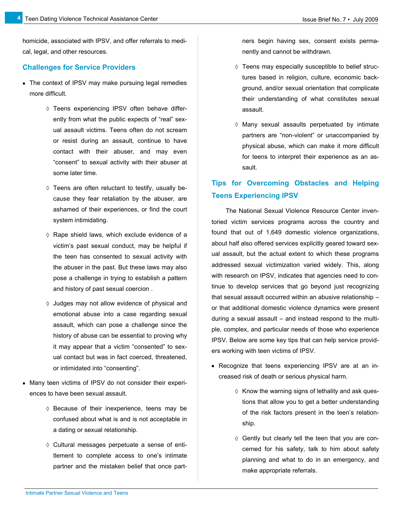homicide, associated with IPSV, and offer referrals to medical, legal, and other resources.

#### **Challenges for Service Providers**

**4**

- The context of IPSV may make pursuing legal remedies more difficult.
	- Teens experiencing IPSV often behave differently from what the public expects of "real" sexual assault victims. Teens often do not scream or resist during an assault, continue to have contact with their abuser, and may even "consent" to sexual activity with their abuser at some later time.
	- $\diamond$  Teens are often reluctant to testify, usually because they fear retaliation by the abuser, are ashamed of their experiences, or find the court system intimidating.
	- $\Diamond$  Rape shield laws, which exclude evidence of a victim"s past sexual conduct, may be helpful if the teen has consented to sexual activity with the abuser in the past. But these laws may also pose a challenge in trying to establish a pattern and history of past sexual coercion .
	- $\diamond$  Judges may not allow evidence of physical and emotional abuse into a case regarding sexual assault, which can pose a challenge since the history of abuse can be essential to proving why it may appear that a victim "consented" to sexual contact but was in fact coerced, threatened, or intimidated into "consenting".
- Many teen victims of IPSV do not consider their experiences to have been sexual assault.
	- $\diamond$  Because of their inexperience, teens may be confused about what is and is not acceptable in a dating or sexual relationship.
	- Cultural messages perpetuate a sense of entitlement to complete access to one"s intimate partner and the mistaken belief that once part-

ners begin having sex, consent exists permanently and cannot be withdrawn.

- $\diamond$  Teens may especially susceptible to belief structures based in religion, culture, economic background, and/or sexual orientation that complicate their understanding of what constitutes sexual assault.
- $\Diamond$  Many sexual assaults perpetuated by intimate partners are "non-violent" or unaccompanied by physical abuse, which can make it more difficult for teens to interpret their experience as an assault.

### **Tips for Overcoming Obstacles and Helping Teens Experiencing IPSV**

The National Sexual Violence Resource Center inventoried victim services programs across the country and found that out of 1,649 domestic violence organizations, about half also offered services explicitly geared toward sexual assault, but the actual extent to which these programs addressed sexual victimization varied widely. This, along with research on IPSV, indicates that agencies need to continue to develop services that go beyond just recognizing that sexual assault occurred within an abusive relationship – or that additional domestic violence dynamics were present during a sexual assault – and instead respond to the multiple, complex, and particular needs of those who experience IPSV. Below are some key tips that can help service providers working with teen victims of IPSV.

- Recognize that teens experiencing IPSV are at an increased risk of death or serious physical harm.
	- $\Diamond$  Know the warning signs of lethality and ask questions that allow you to get a better understanding of the risk factors present in the teen"s relationship.
	- $\Diamond$  Gently but clearly tell the teen that you are concerned for his safety, talk to him about safety planning and what to do in an emergency, and make appropriate referrals.